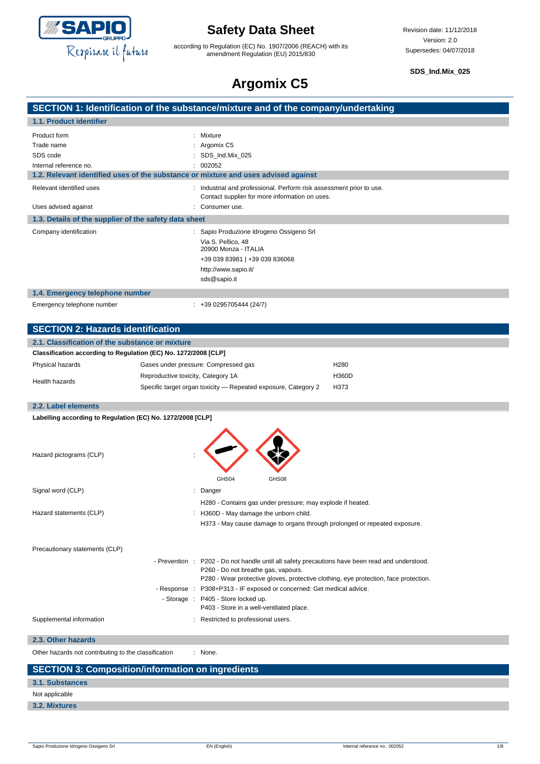

according to Regulation (EC) No. 1907/2006 (REACH) with its amendment Regulation (EU) 2015/830

**SDS\_Ind.Mix\_025**

## **Argomix C5**

| Argomix C <sub>3</sub>                                                             |                                            |                                                                                                                      |                                                                                                                                                                                         |
|------------------------------------------------------------------------------------|--------------------------------------------|----------------------------------------------------------------------------------------------------------------------|-----------------------------------------------------------------------------------------------------------------------------------------------------------------------------------------|
| SECTION 1: Identification of the substance/mixture and of the company/undertaking  |                                            |                                                                                                                      |                                                                                                                                                                                         |
| 1.1. Product identifier                                                            |                                            |                                                                                                                      |                                                                                                                                                                                         |
| Product form                                                                       | Mixture                                    |                                                                                                                      |                                                                                                                                                                                         |
| Trade name                                                                         | Argomix C5                                 |                                                                                                                      |                                                                                                                                                                                         |
| SDS code                                                                           | SDS_Ind.Mix_025                            |                                                                                                                      |                                                                                                                                                                                         |
| Internal reference no.                                                             | 002052                                     |                                                                                                                      |                                                                                                                                                                                         |
| 1.2. Relevant identified uses of the substance or mixture and uses advised against |                                            |                                                                                                                      |                                                                                                                                                                                         |
| Relevant identified uses                                                           |                                            | Industrial and professional. Perform risk assessment prior to use.<br>Contact supplier for more information on uses. |                                                                                                                                                                                         |
| Uses advised against                                                               | Consumer use.                              |                                                                                                                      |                                                                                                                                                                                         |
| 1.3. Details of the supplier of the safety data sheet                              |                                            |                                                                                                                      |                                                                                                                                                                                         |
| Company identification                                                             | Via S. Pellico, 48<br>http://www.sapio.it/ | Sapio Produzione Idrogeno Ossigeno Srl<br>20900 Monza - ITALIA<br>+39 039 83981   +39 039 836068                     |                                                                                                                                                                                         |
|                                                                                    | sds@sapio.it                               |                                                                                                                      |                                                                                                                                                                                         |
| 1.4. Emergency telephone number                                                    |                                            |                                                                                                                      |                                                                                                                                                                                         |
| Emergency telephone number                                                         | $: +390295705444(24/7)$                    |                                                                                                                      |                                                                                                                                                                                         |
| <b>SECTION 2: Hazards identification</b>                                           |                                            |                                                                                                                      |                                                                                                                                                                                         |
| 2.1. Classification of the substance or mixture                                    |                                            |                                                                                                                      |                                                                                                                                                                                         |
| Classification according to Regulation (EC) No. 1272/2008 [CLP]                    |                                            |                                                                                                                      |                                                                                                                                                                                         |
| Physical hazards                                                                   | Gases under pressure: Compressed gas       |                                                                                                                      | H <sub>280</sub>                                                                                                                                                                        |
|                                                                                    | Reproductive toxicity, Category 1A         |                                                                                                                      | H360D                                                                                                                                                                                   |
| Health hazards                                                                     |                                            | Specific target organ toxicity - Repeated exposure, Category 2                                                       | H373                                                                                                                                                                                    |
| 2.2. Label elements                                                                |                                            |                                                                                                                      |                                                                                                                                                                                         |
| Labelling according to Regulation (EC) No. 1272/2008 [CLP]                         |                                            |                                                                                                                      |                                                                                                                                                                                         |
| Hazard pictograms (CLP)                                                            |                                            |                                                                                                                      |                                                                                                                                                                                         |
|                                                                                    | GHS04                                      | GHS08                                                                                                                |                                                                                                                                                                                         |
| Signal word (CLP)                                                                  | : Danger                                   |                                                                                                                      |                                                                                                                                                                                         |
|                                                                                    |                                            | H280 - Contains gas under pressure; may explode if heated.                                                           |                                                                                                                                                                                         |
| Hazard statements (CLP)                                                            |                                            | : H360D - May damage the unborn child.                                                                               |                                                                                                                                                                                         |
|                                                                                    |                                            | H373 - May cause damage to organs through prolonged or repeated exposure.                                            |                                                                                                                                                                                         |
|                                                                                    |                                            |                                                                                                                      |                                                                                                                                                                                         |
| Precautionary statements (CLP)                                                     |                                            |                                                                                                                      |                                                                                                                                                                                         |
|                                                                                    |                                            | P260 - Do not breathe gas, vapours.                                                                                  | - Prevention : P202 - Do not handle until all safety precautions have been read and understood.<br>P280 - Wear protective gloves, protective clothing, eye protection, face protection. |
|                                                                                    | - Response :                               | P308+P313 - IF exposed or concerned: Get medical advice.                                                             |                                                                                                                                                                                         |
|                                                                                    | - Storage : P405 - Store locked up.        | P403 - Store in a well-ventilated place.                                                                             |                                                                                                                                                                                         |
| Supplemental information                                                           |                                            | : Restricted to professional users.                                                                                  |                                                                                                                                                                                         |
| 2.3. Other hazards                                                                 |                                            |                                                                                                                      |                                                                                                                                                                                         |
| Other hazards not contributing to the classification                               | : None.                                    |                                                                                                                      |                                                                                                                                                                                         |
| <b>SECTION 3: Composition/information on ingredients</b>                           |                                            |                                                                                                                      |                                                                                                                                                                                         |
| <b>3.1. Substances</b>                                                             |                                            |                                                                                                                      |                                                                                                                                                                                         |

#### Not applicable

**3.2. Mixtures**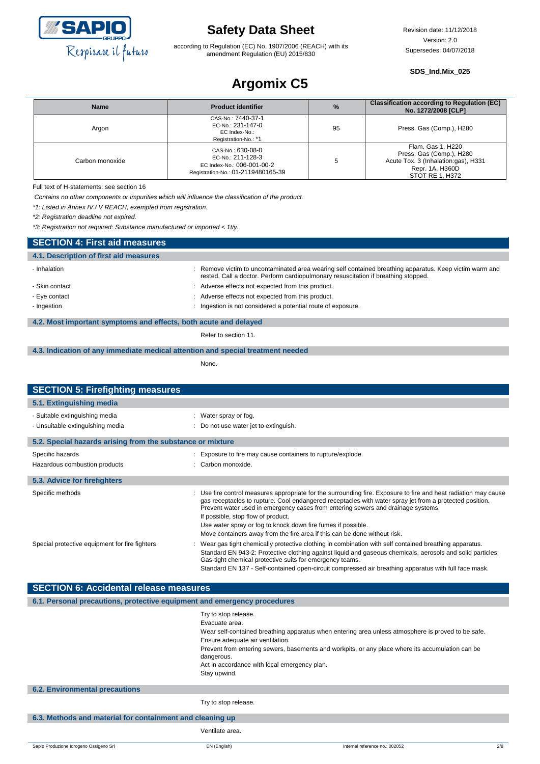

according to Regulation (EC) No. 1907/2006 (REACH) with its amendment Regulation (EU) 2015/830

#### **SDS\_Ind.Mix\_025**

# **Argomix C5**

| <b>Name</b>     | <b>Product identifier</b>                                                                                  | $\%$ | <b>Classification according to Regulation (EC)</b><br>No. 1272/2008 [CLP]                                                  |
|-----------------|------------------------------------------------------------------------------------------------------------|------|----------------------------------------------------------------------------------------------------------------------------|
| Argon           | CAS-No.: 7440-37-1<br>EC-No.: 231-147-0<br>EC Index-No.:<br>Registration-No.: *1                           | 95   | Press. Gas (Comp.), H280                                                                                                   |
| Carbon monoxide | CAS-No.: 630-08-0<br>EC-No.: 211-128-3<br>EC Index-No.: 006-001-00-2<br>Registration-No.: 01-2119480165-39 |      | Flam. Gas 1, H220<br>Press. Gas (Comp.), H280<br>Acute Tox. 3 (Inhalation:gas), H331<br>Repr. 1A, H360D<br>STOT RE 1. H372 |

Full text of H-statements: see section 16

*Contains no other components or impurities which will influence the classification of the product.*

*\*1: Listed in Annex IV / V REACH, exempted from registration.*

*\*2: Registration deadline not expired.*

*\*3: Registration not required: Substance manufactured or imported < 1t/y.*

| <b>SECTION 4: First aid measures</b>                             |                                                                                                                                                                                             |
|------------------------------------------------------------------|---------------------------------------------------------------------------------------------------------------------------------------------------------------------------------------------|
| 4.1. Description of first aid measures                           |                                                                                                                                                                                             |
| - Inhalation                                                     | Remove victim to uncontaminated area wearing self contained breathing apparatus. Keep victim warm and<br>rested. Call a doctor. Perform cardiopulmonary resuscitation if breathing stopped. |
| - Skin contact                                                   | Adverse effects not expected from this product.                                                                                                                                             |
| - Eye contact                                                    | Adverse effects not expected from this product.                                                                                                                                             |
| - Ingestion                                                      | Ingestion is not considered a potential route of exposure.                                                                                                                                  |
| 4.2. Most important symptoms and effects, both acute and delayed |                                                                                                                                                                                             |

Refer to section 11.

#### **4.3. Indication of any immediate medical attention and special treatment needed**

None.

| <b>SECTION 5: Firefighting measures</b>                                  |                                                                                                                                                                                                                                                                                                                                                                                                                    |
|--------------------------------------------------------------------------|--------------------------------------------------------------------------------------------------------------------------------------------------------------------------------------------------------------------------------------------------------------------------------------------------------------------------------------------------------------------------------------------------------------------|
| 5.1. Extinguishing media                                                 |                                                                                                                                                                                                                                                                                                                                                                                                                    |
| - Suitable extinguishing media                                           | : Water spray or fog.                                                                                                                                                                                                                                                                                                                                                                                              |
| - Unsuitable extinguishing media                                         | Do not use water jet to extinguish.                                                                                                                                                                                                                                                                                                                                                                                |
| 5.2. Special hazards arising from the substance or mixture               |                                                                                                                                                                                                                                                                                                                                                                                                                    |
| Specific hazards                                                         | : Exposure to fire may cause containers to rupture/explode.                                                                                                                                                                                                                                                                                                                                                        |
| Hazardous combustion products                                            | : Carbon monoxide.                                                                                                                                                                                                                                                                                                                                                                                                 |
| 5.3. Advice for firefighters                                             |                                                                                                                                                                                                                                                                                                                                                                                                                    |
|                                                                          |                                                                                                                                                                                                                                                                                                                                                                                                                    |
| Specific methods                                                         | Use fire control measures appropriate for the surrounding fire. Exposure to fire and heat radiation may cause<br>gas receptacles to rupture. Cool endangered receptacles with water spray jet from a protected position.<br>Prevent water used in emergency cases from entering sewers and drainage systems.<br>If possible, stop flow of product.<br>Use water spray or fog to knock down fire fumes if possible. |
|                                                                          | Move containers away from the fire area if this can be done without risk.                                                                                                                                                                                                                                                                                                                                          |
| Special protective equipment for fire fighters                           | Wear gas tight chemically protective clothing in combination with self contained breathing apparatus.<br>Standard EN 943-2: Protective clothing against liquid and gaseous chemicals, aerosols and solid particles.<br>Gas-tight chemical protective suits for emergency teams.<br>Standard EN 137 - Self-contained open-circuit compressed air breathing apparatus with full face mask.                           |
| <b>SECTION 6: Accidental release measures</b>                            |                                                                                                                                                                                                                                                                                                                                                                                                                    |
| 6.1. Personal precautions, protective equipment and emergency procedures |                                                                                                                                                                                                                                                                                                                                                                                                                    |
|                                                                          | Try to stop release.<br>Evacuate area.<br>Wear self-contained breathing apparatus when entering area unless atmosphere is proved to be safe.<br>Ensure adequate air ventilation.<br>Prevent from entering sewers, basements and workpits, or any place where its accumulation can be<br>dangerous.<br>Act in accordance with local emergency plan.<br>Stay upwind.                                                 |
| <b>6.2. Environmental precautions</b>                                    |                                                                                                                                                                                                                                                                                                                                                                                                                    |
|                                                                          | Try to stop release.                                                                                                                                                                                                                                                                                                                                                                                               |
| 6.3. Methods and material for containment and cleaning up                |                                                                                                                                                                                                                                                                                                                                                                                                                    |
|                                                                          | Ventilate area.                                                                                                                                                                                                                                                                                                                                                                                                    |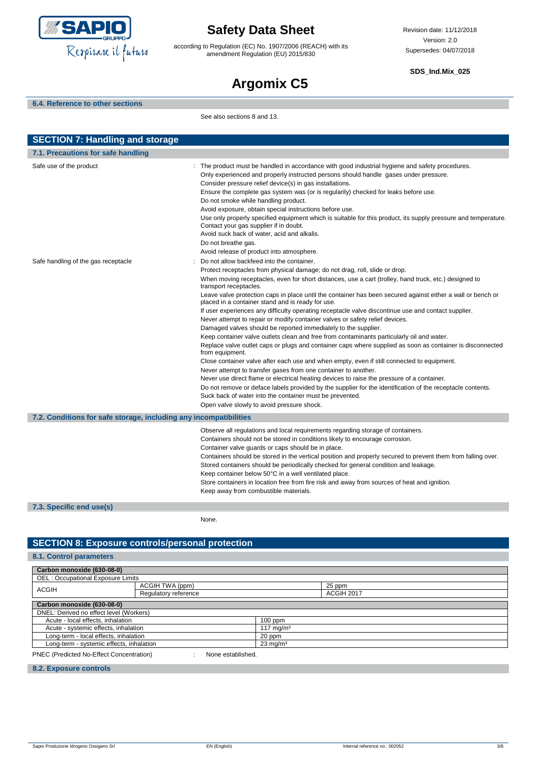

according to Regulation (EC) No. 1907/2006 (REACH) with its amendment Regulation (EU) 2015/830

**SDS\_Ind.Mix\_025**

# **Argomix C5**

#### **6.4. Reference to other sections**

See also sections 8 and 13.

| <b>SECTION 7: Handling and storage</b>                            |                                                                                                                                                                                                                                                                                                                                                                                                                                                                                                                                                                                                                                                                                                                                                                                                                                                                                                                                                                                                                                                                                                                                                                                                                                                                                                                                                                                                             |  |
|-------------------------------------------------------------------|-------------------------------------------------------------------------------------------------------------------------------------------------------------------------------------------------------------------------------------------------------------------------------------------------------------------------------------------------------------------------------------------------------------------------------------------------------------------------------------------------------------------------------------------------------------------------------------------------------------------------------------------------------------------------------------------------------------------------------------------------------------------------------------------------------------------------------------------------------------------------------------------------------------------------------------------------------------------------------------------------------------------------------------------------------------------------------------------------------------------------------------------------------------------------------------------------------------------------------------------------------------------------------------------------------------------------------------------------------------------------------------------------------------|--|
| 7.1. Precautions for safe handling                                |                                                                                                                                                                                                                                                                                                                                                                                                                                                                                                                                                                                                                                                                                                                                                                                                                                                                                                                                                                                                                                                                                                                                                                                                                                                                                                                                                                                                             |  |
| Safe use of the product                                           | The product must be handled in accordance with good industrial hygiene and safety procedures.<br>Only experienced and properly instructed persons should handle gases under pressure.<br>Consider pressure relief device(s) in gas installations.<br>Ensure the complete gas system was (or is regularily) checked for leaks before use.<br>Do not smoke while handling product.<br>Avoid exposure, obtain special instructions before use.<br>Use only properly specified equipment which is suitable for this product, its supply pressure and temperature.<br>Contact your gas supplier if in doubt.<br>Avoid suck back of water, acid and alkalis.<br>Do not breathe gas.<br>Avoid release of product into atmosphere.                                                                                                                                                                                                                                                                                                                                                                                                                                                                                                                                                                                                                                                                                  |  |
| Safe handling of the gas receptacle                               | Do not allow backfeed into the container.<br>Protect receptacles from physical damage; do not drag, roll, slide or drop.<br>When moving receptacles, even for short distances, use a cart (trolley, hand truck, etc.) designed to<br>transport receptacles.<br>Leave valve protection caps in place until the container has been secured against either a wall or bench or<br>placed in a container stand and is ready for use.<br>If user experiences any difficulty operating receptacle valve discontinue use and contact supplier.<br>Never attempt to repair or modify container valves or safety relief devices.<br>Damaged valves should be reported immediately to the supplier.<br>Keep container valve outlets clean and free from contaminants particularly oil and water.<br>Replace valve outlet caps or plugs and container caps where supplied as soon as container is disconnected<br>from equipment.<br>Close container valve after each use and when empty, even if still connected to equipment.<br>Never attempt to transfer gases from one container to another.<br>Never use direct flame or electrical heating devices to raise the pressure of a container.<br>Do not remove or deface labels provided by the supplier for the identification of the receptacle contents.<br>Suck back of water into the container must be prevented.<br>Open valve slowly to avoid pressure shock. |  |
| 7.2. Conditions for safe storage, including any incompatibilities |                                                                                                                                                                                                                                                                                                                                                                                                                                                                                                                                                                                                                                                                                                                                                                                                                                                                                                                                                                                                                                                                                                                                                                                                                                                                                                                                                                                                             |  |
|                                                                   | Observe all regulations and local requirements regarding storage of containers.<br>Containers should not be stored in conditions likely to encourage corrosion.<br>Container valve guards or caps should be in place.<br>Containers should be stored in the vertical position and properly secured to prevent them from falling over.<br>Stored containers should be periodically checked for general condition and leakage.<br>Keep container below 50°C in a well ventilated place.<br>Store containers in location free from fire risk and away from sources of heat and ignition.<br>Keep away from combustible materials.                                                                                                                                                                                                                                                                                                                                                                                                                                                                                                                                                                                                                                                                                                                                                                              |  |
| 7.3. Specific end use(s)                                          |                                                                                                                                                                                                                                                                                                                                                                                                                                                                                                                                                                                                                                                                                                                                                                                                                                                                                                                                                                                                                                                                                                                                                                                                                                                                                                                                                                                                             |  |
|                                                                   | None.                                                                                                                                                                                                                                                                                                                                                                                                                                                                                                                                                                                                                                                                                                                                                                                                                                                                                                                                                                                                                                                                                                                                                                                                                                                                                                                                                                                                       |  |

#### **SECTION 8: Exposure controls/personal protection**

#### **8.1. Control parameters**

| Carbon monoxide (630-08-0)               |                      |                     |        |  |
|------------------------------------------|----------------------|---------------------|--------|--|
| OEL: Occupational Exposure Limits        |                      |                     |        |  |
| <b>ACGIH</b>                             | ACGIH TWA (ppm)      |                     | 25 ppm |  |
|                                          | Regulatory reference |                     |        |  |
| Carbon monoxide (630-08-0)               |                      |                     |        |  |
| DNEL: Derived no effect level (Workers)  |                      |                     |        |  |
| Acute - local effects, inhalation        |                      | $100$ ppm           |        |  |
| Acute - systemic effects, inhalation     |                      | 117 mg/m $3$        |        |  |
| Long-term - local effects, inhalation    |                      | 20 ppm              |        |  |
| Long-term - systemic effects, inhalation |                      | $23 \text{ mg/m}^3$ |        |  |
| PNEC (Predicted No-Effect Concentration) | None established.    |                     |        |  |

#### **8.2. Exposure controls**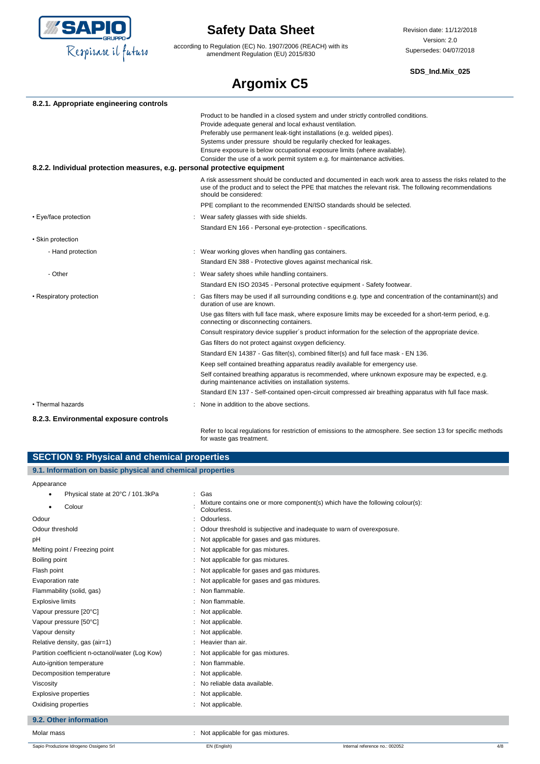

according to Regulation (EC) No. 1907/2006 (REACH) with its amendment Regulation (EU) 2015/830

Revision date: 11/12/2018 Version: 2.0 Supersedes: 04/07/2018

#### **SDS\_Ind.Mix\_025**

# **Argomix C5**

| 8.2.1. Appropriate engineering controls                                   |                                                                                                                                                                                                                                                                                                                                                                                                                                                       |
|---------------------------------------------------------------------------|-------------------------------------------------------------------------------------------------------------------------------------------------------------------------------------------------------------------------------------------------------------------------------------------------------------------------------------------------------------------------------------------------------------------------------------------------------|
|                                                                           | Product to be handled in a closed system and under strictly controlled conditions.<br>Provide adequate general and local exhaust ventilation.<br>Preferably use permanent leak-tight installations (e.g. welded pipes).<br>Systems under pressure should be regularily checked for leakages.<br>Ensure exposure is below occupational exposure limits (where available).<br>Consider the use of a work permit system e.g. for maintenance activities. |
| 8.2.2. Individual protection measures, e.g. personal protective equipment |                                                                                                                                                                                                                                                                                                                                                                                                                                                       |
|                                                                           | A risk assessment should be conducted and documented in each work area to assess the risks related to the<br>use of the product and to select the PPE that matches the relevant risk. The following recommendations<br>should be considered:                                                                                                                                                                                                          |
|                                                                           | PPE compliant to the recommended EN/ISO standards should be selected.                                                                                                                                                                                                                                                                                                                                                                                 |
| • Eye/face protection                                                     | : Wear safety glasses with side shields.                                                                                                                                                                                                                                                                                                                                                                                                              |
|                                                                           | Standard EN 166 - Personal eye-protection - specifications.                                                                                                                                                                                                                                                                                                                                                                                           |
| • Skin protection                                                         |                                                                                                                                                                                                                                                                                                                                                                                                                                                       |
| - Hand protection                                                         | : Wear working gloves when handling gas containers.                                                                                                                                                                                                                                                                                                                                                                                                   |
|                                                                           | Standard EN 388 - Protective gloves against mechanical risk.                                                                                                                                                                                                                                                                                                                                                                                          |
| - Other                                                                   | : Wear safety shoes while handling containers.                                                                                                                                                                                                                                                                                                                                                                                                        |
|                                                                           | Standard EN ISO 20345 - Personal protective equipment - Safety footwear.                                                                                                                                                                                                                                                                                                                                                                              |
| • Respiratory protection                                                  | Gas filters may be used if all surrounding conditions e.g. type and concentration of the contaminant(s) and<br>duration of use are known.                                                                                                                                                                                                                                                                                                             |
|                                                                           | Use gas filters with full face mask, where exposure limits may be exceeded for a short-term period, e.g.<br>connecting or disconnecting containers.                                                                                                                                                                                                                                                                                                   |
|                                                                           | Consult respiratory device supplier's product information for the selection of the appropriate device.                                                                                                                                                                                                                                                                                                                                                |
|                                                                           | Gas filters do not protect against oxygen deficiency.                                                                                                                                                                                                                                                                                                                                                                                                 |
|                                                                           | Standard EN 14387 - Gas filter(s), combined filter(s) and full face mask - EN 136.                                                                                                                                                                                                                                                                                                                                                                    |
|                                                                           | Keep self contained breathing apparatus readily available for emergency use.                                                                                                                                                                                                                                                                                                                                                                          |
|                                                                           | Self contained breathing apparatus is recommended, where unknown exposure may be expected, e.g.<br>during maintenance activities on installation systems.                                                                                                                                                                                                                                                                                             |
|                                                                           | Standard EN 137 - Self-contained open-circuit compressed air breathing apparatus with full face mask.                                                                                                                                                                                                                                                                                                                                                 |
| • Thermal hazards                                                         | None in addition to the above sections.                                                                                                                                                                                                                                                                                                                                                                                                               |
| 8.2.3. Environmental exposure controls                                    |                                                                                                                                                                                                                                                                                                                                                                                                                                                       |

Refer to local regulations for restriction of emissions to the atmosphere. See section 13 for specific methods for waste gas treatment.

| <b>SECTION 9: Physical and chemical properties</b>         |                                            |                                                                               |     |
|------------------------------------------------------------|--------------------------------------------|-------------------------------------------------------------------------------|-----|
| 9.1. Information on basic physical and chemical properties |                                            |                                                                               |     |
| Appearance                                                 |                                            |                                                                               |     |
| Physical state at 20°C / 101.3kPa                          | : Gas                                      |                                                                               |     |
| Colour                                                     | Colourless.                                | Mixture contains one or more component(s) which have the following colour(s): |     |
| Odour                                                      | Odourless.                                 |                                                                               |     |
| Odour threshold                                            |                                            | Odour threshold is subjective and inadequate to warn of overexposure.         |     |
| pH                                                         | Not applicable for gases and gas mixtures. |                                                                               |     |
| Melting point / Freezing point                             | Not applicable for gas mixtures.           |                                                                               |     |
| Boiling point                                              | : Not applicable for gas mixtures.         |                                                                               |     |
| Flash point                                                | Not applicable for gases and gas mixtures. |                                                                               |     |
| Evaporation rate                                           | Not applicable for gases and gas mixtures. |                                                                               |     |
| Flammability (solid, gas)                                  | Non flammable.                             |                                                                               |     |
| <b>Explosive limits</b>                                    | Non flammable.                             |                                                                               |     |
| Vapour pressure [20°C]                                     | Not applicable.                            |                                                                               |     |
| Vapour pressure [50°C]                                     | Not applicable.                            |                                                                               |     |
| Vapour density                                             | Not applicable.                            |                                                                               |     |
| Relative density, gas (air=1)                              | Heavier than air.                          |                                                                               |     |
| Partition coefficient n-octanol/water (Log Kow)            | Not applicable for gas mixtures.           |                                                                               |     |
| Auto-ignition temperature                                  | Non flammable.                             |                                                                               |     |
| Decomposition temperature                                  | Not applicable.                            |                                                                               |     |
| Viscosity                                                  | No reliable data available.                |                                                                               |     |
| Explosive properties                                       | Not applicable.                            |                                                                               |     |
| Oxidising properties                                       | : Not applicable.                          |                                                                               |     |
| 9.2. Other information                                     |                                            |                                                                               |     |
| Molar mass                                                 | : Not applicable for gas mixtures.         |                                                                               |     |
| Sapio Produzione Idrogeno Ossigeno Srl                     | EN (English)                               | Internal reference no.: 002052                                                | 4/8 |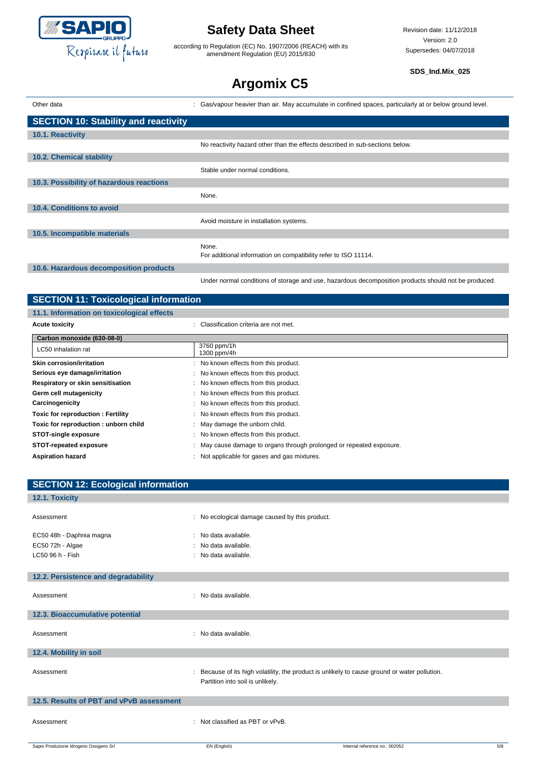

according to Regulation (EC) No. 1907/2006 (REACH) with its amendment Regulation (EU) 2015/830

**SDS\_Ind.Mix\_025**

# **Argomix C5**

| Other data                                  | : Gas/vapour heavier than air. May accumulate in confined spaces, particularly at or below ground level. |
|---------------------------------------------|----------------------------------------------------------------------------------------------------------|
| <b>SECTION 10: Stability and reactivity</b> |                                                                                                          |
| 10.1. Reactivity                            |                                                                                                          |
|                                             | No reactivity hazard other than the effects described in sub-sections below.                             |
| 10.2. Chemical stability                    |                                                                                                          |
|                                             | Stable under normal conditions.                                                                          |
| 10.3. Possibility of hazardous reactions    |                                                                                                          |
|                                             | None.                                                                                                    |
| 10.4. Conditions to avoid                   |                                                                                                          |
|                                             | Avoid moisture in installation systems.                                                                  |
| 10.5. Incompatible materials                |                                                                                                          |
|                                             | None.<br>For additional information on compatibility refer to ISO 11114.                                 |
| 10.6. Hazardous decomposition products      |                                                                                                          |
|                                             | Under normal conditions of storage and use, hazardous decomposition products should not be produced.     |

| <b>SECTION 11: Toxicological information</b> |                                                                      |  |
|----------------------------------------------|----------------------------------------------------------------------|--|
| 11.1. Information on toxicological effects   |                                                                      |  |
| <b>Acute toxicity</b>                        | : Classification criteria are not met.                               |  |
| Carbon monoxide (630-08-0)                   |                                                                      |  |
| LC50 inhalation rat                          | 3760 ppm/1h<br>1300 ppm/4h                                           |  |
| <b>Skin corrosion/irritation</b>             | : No known effects from this product.                                |  |
| Serious eye damage/irritation                | : No known effects from this product.                                |  |
| Respiratory or skin sensitisation            | : No known effects from this product.                                |  |
| Germ cell mutagenicity                       | : No known effects from this product.                                |  |
| Carcinogenicity                              | : No known effects from this product.                                |  |
| <b>Toxic for reproduction: Fertility</b>     | : No known effects from this product.                                |  |
| Toxic for reproduction: unborn child         | : May damage the unborn child.                                       |  |
| <b>STOT-single exposure</b>                  | : No known effects from this product.                                |  |
| STOT-repeated exposure                       | : May cause damage to organs through prolonged or repeated exposure. |  |
| <b>Aspiration hazard</b>                     | : Not applicable for gases and gas mixtures.                         |  |
|                                              |                                                                      |  |

| <b>SECTION 12: Ecological information</b> |                                                |                                                                                             |     |
|-------------------------------------------|------------------------------------------------|---------------------------------------------------------------------------------------------|-----|
| 12.1. Toxicity                            |                                                |                                                                                             |     |
| Assessment                                | : No ecological damage caused by this product. |                                                                                             |     |
| EC50 48h - Daphnia magna                  | : No data available.                           |                                                                                             |     |
| EC50 72h - Algae                          | : No data available.                           |                                                                                             |     |
| LC50 96 h - Fish                          | : No data available.                           |                                                                                             |     |
|                                           |                                                |                                                                                             |     |
| 12.2. Persistence and degradability       |                                                |                                                                                             |     |
| Assessment                                | : No data available.                           |                                                                                             |     |
| 12.3. Bioaccumulative potential           |                                                |                                                                                             |     |
| Assessment                                | : No data available.                           |                                                                                             |     |
| 12.4. Mobility in soil                    |                                                |                                                                                             |     |
| Assessment                                | Partition into soil is unlikely.               | Because of its high volatility, the product is unlikely to cause ground or water pollution. |     |
| 12.5. Results of PBT and vPvB assessment  |                                                |                                                                                             |     |
| Assessment                                | : Not classified as PBT or vPvB.               |                                                                                             |     |
| Sapio Produzione Idrogeno Ossigeno Srl    | EN (English)                                   | Internal reference no.: 002052                                                              | 5/8 |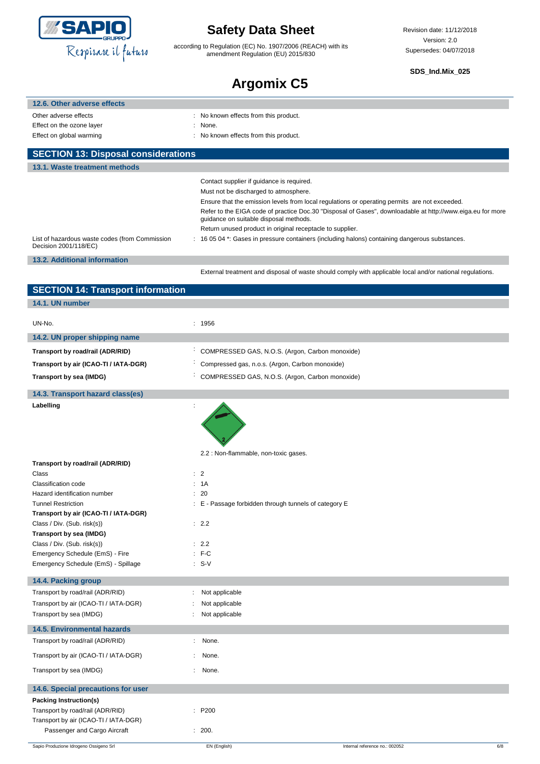

according to Regulation (EC) No. 1907/2006 (REACH) with its amendment Regulation (EU) 2015/830

Revision date: 11/12/2018 Version: 2.0 Supersedes: 04/07/2018

**SDS\_Ind.Mix\_025**

## **Argomix C5**

|                                                                         | .<br>.                                                                                                                                               |
|-------------------------------------------------------------------------|------------------------------------------------------------------------------------------------------------------------------------------------------|
| 12.6. Other adverse effects                                             |                                                                                                                                                      |
| Other adverse effects                                                   | : No known effects from this product.                                                                                                                |
| Effect on the ozone layer                                               | None.                                                                                                                                                |
| Effect on global warming                                                | No known effects from this product.                                                                                                                  |
| <b>SECTION 13: Disposal considerations</b>                              |                                                                                                                                                      |
| 13.1. Waste treatment methods                                           |                                                                                                                                                      |
|                                                                         | Contact supplier if guidance is required.                                                                                                            |
|                                                                         | Must not be discharged to atmosphere.                                                                                                                |
|                                                                         | Ensure that the emission levels from local regulations or operating permits are not exceeded.                                                        |
|                                                                         | Refer to the EIGA code of practice Doc.30 "Disposal of Gases", downloadable at http://www.eiga.eu for more<br>guidance on suitable disposal methods. |
|                                                                         | Return unused product in original receptacle to supplier.                                                                                            |
| List of hazardous waste codes (from Commission<br>Decision 2001/118/EC) | : 16 05 04 *: Gases in pressure containers (including halons) containing dangerous substances.                                                       |
| 13.2. Additional information                                            |                                                                                                                                                      |
|                                                                         | External treatment and disposal of waste should comply with applicable local and/or national regulations.                                            |
| <b>SECTION 14: Transport information</b>                                |                                                                                                                                                      |
| 14.1. UN number                                                         |                                                                                                                                                      |
|                                                                         |                                                                                                                                                      |
| UN-No.                                                                  | : 1956                                                                                                                                               |
| 14.2. UN proper shipping name                                           |                                                                                                                                                      |
| Transport by road/rail (ADR/RID)                                        | COMPRESSED GAS, N.O.S. (Argon, Carbon monoxide)                                                                                                      |
| Transport by air (ICAO-TI / IATA-DGR)                                   | Compressed gas, n.o.s. (Argon, Carbon monoxide)                                                                                                      |
| Transport by sea (IMDG)                                                 | COMPRESSED GAS, N.O.S. (Argon, Carbon monoxide)                                                                                                      |
| 14.3. Transport hazard class(es)                                        |                                                                                                                                                      |
| Labelling                                                               |                                                                                                                                                      |
|                                                                         |                                                                                                                                                      |
|                                                                         |                                                                                                                                                      |
|                                                                         |                                                                                                                                                      |
|                                                                         | 2.2 : Non-flammable, non-toxic gases.                                                                                                                |
| Transport by road/rail (ADR/RID)                                        |                                                                                                                                                      |
| Class                                                                   | $\therefore$ 2                                                                                                                                       |
| Classification code                                                     | : 1A                                                                                                                                                 |
| Hazard identification number<br><b>Tunnel Restriction</b>               | 20<br>: E - Passage forbidden through tunnels of category E                                                                                          |
| Transport by air (ICAO-TI / IATA-DGR)                                   |                                                                                                                                                      |
| Class / Div. (Sub. risk(s))                                             | : 2.2                                                                                                                                                |
| Transport by sea (IMDG)                                                 |                                                                                                                                                      |
| Class / Div. (Sub. risk(s))                                             | : 2.2                                                                                                                                                |
| Emergency Schedule (EmS) - Fire                                         | $:$ F-C                                                                                                                                              |
| Emergency Schedule (EmS) - Spillage                                     | $: S-V$                                                                                                                                              |
| 14.4. Packing group                                                     |                                                                                                                                                      |
| Transport by road/rail (ADR/RID)                                        | Not applicable                                                                                                                                       |
| Transport by air (ICAO-TI / IATA-DGR)                                   | Not applicable                                                                                                                                       |
| Transport by sea (IMDG)                                                 | Not applicable                                                                                                                                       |
| <b>14.5. Environmental hazards</b>                                      |                                                                                                                                                      |
| Transport by road/rail (ADR/RID)                                        | None.<br>t.                                                                                                                                          |

Transport by air (ICAO-TI / IATA-DGR) : None. Transport by sea (IMDG) **in the set of the set of the set of the set of the set of the set of the set of the set of the set of the set of the set of the set of the set of the set of the set of the set of the set of the set 14.6. Special precautions for user Packing Instruction(s)** Transport by road/rail (ADR/RID) : P200 Transport by air (ICAO-TI / IATA-DGR) Passenger and Cargo Aircraft : 200.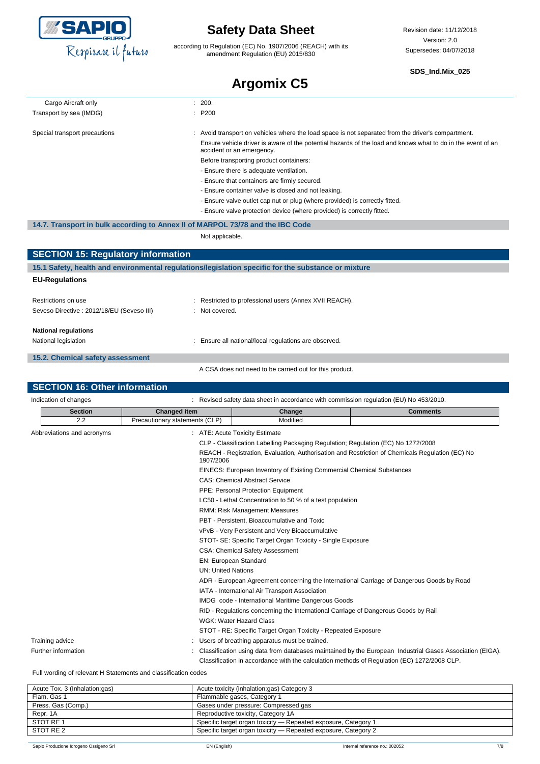

according to Regulation (EC) No. 1907/2006 (REACH) with its amendment Regulation (EU) 2015/830

#### **SDS\_Ind.Mix\_025**

### **Argomix C5**

| Cargo Aircraft only                                                            | 200.                           |                                                                                                     |                                                                                                             |  |
|--------------------------------------------------------------------------------|--------------------------------|-----------------------------------------------------------------------------------------------------|-------------------------------------------------------------------------------------------------------------|--|
| Transport by sea (IMDG)                                                        | P <sub>200</sub>               |                                                                                                     |                                                                                                             |  |
|                                                                                |                                |                                                                                                     |                                                                                                             |  |
| Special transport precautions                                                  |                                | Avoid transport on vehicles where the load space is not separated from the driver's compartment.    |                                                                                                             |  |
|                                                                                |                                | accident or an emergency.                                                                           | Ensure vehicle driver is aware of the potential hazards of the load and knows what to do in the event of an |  |
|                                                                                |                                | Before transporting product containers:                                                             |                                                                                                             |  |
|                                                                                |                                | - Ensure there is adequate ventilation.                                                             |                                                                                                             |  |
|                                                                                |                                | - Ensure that containers are firmly secured.                                                        |                                                                                                             |  |
|                                                                                |                                | - Ensure container valve is closed and not leaking.                                                 |                                                                                                             |  |
|                                                                                |                                | - Ensure valve outlet cap nut or plug (where provided) is correctly fitted.                         |                                                                                                             |  |
|                                                                                |                                | - Ensure valve protection device (where provided) is correctly fitted.                              |                                                                                                             |  |
| 14.7. Transport in bulk according to Annex II of MARPOL 73/78 and the IBC Code |                                |                                                                                                     |                                                                                                             |  |
|                                                                                | Not applicable.                |                                                                                                     |                                                                                                             |  |
|                                                                                |                                |                                                                                                     |                                                                                                             |  |
| <b>SECTION 15: Regulatory information</b>                                      |                                |                                                                                                     |                                                                                                             |  |
|                                                                                |                                | 15.1 Safety, health and environmental regulations/legislation specific for the substance or mixture |                                                                                                             |  |
| <b>EU-Regulations</b>                                                          |                                |                                                                                                     |                                                                                                             |  |
|                                                                                |                                |                                                                                                     |                                                                                                             |  |
| Restrictions on use                                                            |                                | Restricted to professional users (Annex XVII REACH).                                                |                                                                                                             |  |
| Seveso Directive : 2012/18/EU (Seveso III)                                     |                                | Not covered.                                                                                        |                                                                                                             |  |
|                                                                                |                                |                                                                                                     |                                                                                                             |  |
| <b>National regulations</b>                                                    |                                |                                                                                                     |                                                                                                             |  |
| National legislation                                                           |                                | Ensure all national/local regulations are observed.                                                 |                                                                                                             |  |
| 15.2. Chemical safety assessment                                               |                                |                                                                                                     |                                                                                                             |  |
| A CSA does not need to be carried out for this product.                        |                                |                                                                                                     |                                                                                                             |  |
|                                                                                |                                |                                                                                                     |                                                                                                             |  |
| <b>SECTION 16: Other information</b>                                           |                                |                                                                                                     |                                                                                                             |  |
| Indication of changes                                                          |                                | : Revised safety data sheet in accordance with commission regulation (EU) No 453/2010.              |                                                                                                             |  |
| <b>Section</b>                                                                 | <b>Changed item</b>            | Change                                                                                              | <b>Comments</b>                                                                                             |  |
| 2.2                                                                            | Precautionary statements (CLP) | Modified                                                                                            |                                                                                                             |  |
| Abbreviations and acronyms                                                     |                                | : ATE: Acute Toxicity Estimate                                                                      |                                                                                                             |  |
|                                                                                |                                | CLP - Classification Labelling Packaging Regulation; Regulation (EC) No 1272/2008                   |                                                                                                             |  |
|                                                                                |                                |                                                                                                     |                                                                                                             |  |

|                     | REACH - Registration, Evaluation, Authorisation and Restriction of Chemicals Regulation (EC) No<br>1907/2006 |
|---------------------|--------------------------------------------------------------------------------------------------------------|
|                     | EINECS: European Inventory of Existing Commercial Chemical Substances                                        |
|                     | <b>CAS: Chemical Abstract Service</b>                                                                        |
|                     | PPE: Personal Protection Equipment                                                                           |
|                     | LC50 - Lethal Concentration to 50 % of a test population                                                     |
|                     | RMM: Risk Management Measures                                                                                |
|                     | PBT - Persistent, Bioaccumulative and Toxic                                                                  |
|                     | vPvB - Very Persistent and Very Bioaccumulative                                                              |
|                     | STOT- SE: Specific Target Organ Toxicity - Single Exposure                                                   |
|                     | <b>CSA: Chemical Safety Assessment</b>                                                                       |
|                     | EN: European Standard                                                                                        |
|                     | <b>UN: United Nations</b>                                                                                    |
|                     | ADR - European Agreement concerning the International Carriage of Dangerous Goods by Road                    |
|                     | IATA - International Air Transport Association                                                               |
|                     | IMDG code - International Maritime Dangerous Goods                                                           |
|                     | RID - Regulations concerning the International Carriage of Dangerous Goods by Rail                           |
|                     | WGK: Water Hazard Class                                                                                      |
|                     | STOT - RE: Specific Target Organ Toxicity - Repeated Exposure                                                |
| Training advice     | : Users of breathing apparatus must be trained.                                                              |
| Further information | Classification using data from databases maintained by the European Industrial Gases Association (EIGA).     |
|                     | Classification in accordance with the calculation methods of Regulation (EC) 1272/2008 CLP.                  |

Full wording of relevant H Statements and classification codes

| Acute Tox. 3 (Inhalation:gas) | Acute toxicity (inhalation:gas) Category 3                     |
|-------------------------------|----------------------------------------------------------------|
| Flam, Gas 1                   | Flammable gases, Category 1                                    |
| Press. Gas (Comp.)            | Gases under pressure: Compressed gas                           |
| Repr. 1A                      | Reproductive toxicity, Category 1A                             |
| STOT RE 1                     | Specific target organ toxicity - Repeated exposure, Category 1 |
| STOT RE 2                     | Specific target organ toxicity - Repeated exposure, Category 2 |
|                               |                                                                |